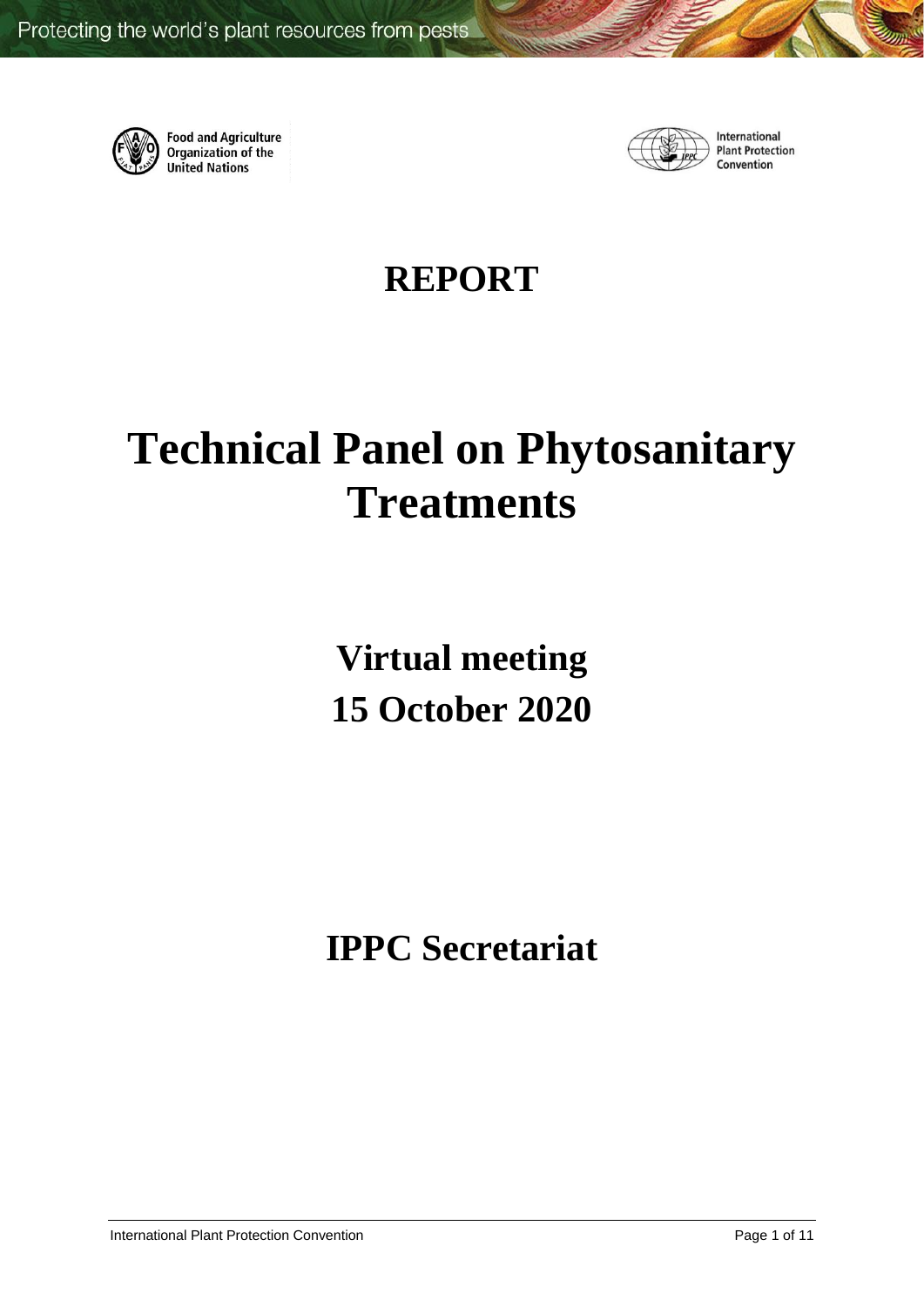

Food and Agriculture<br>Organization of the **United Nations** 



International **Plant Protection** Convention

# **REPORT**

# **Technical Panel on Phytosanitary Treatments**

**Virtual meeting 15 October 2020**

**IPPC Secretariat**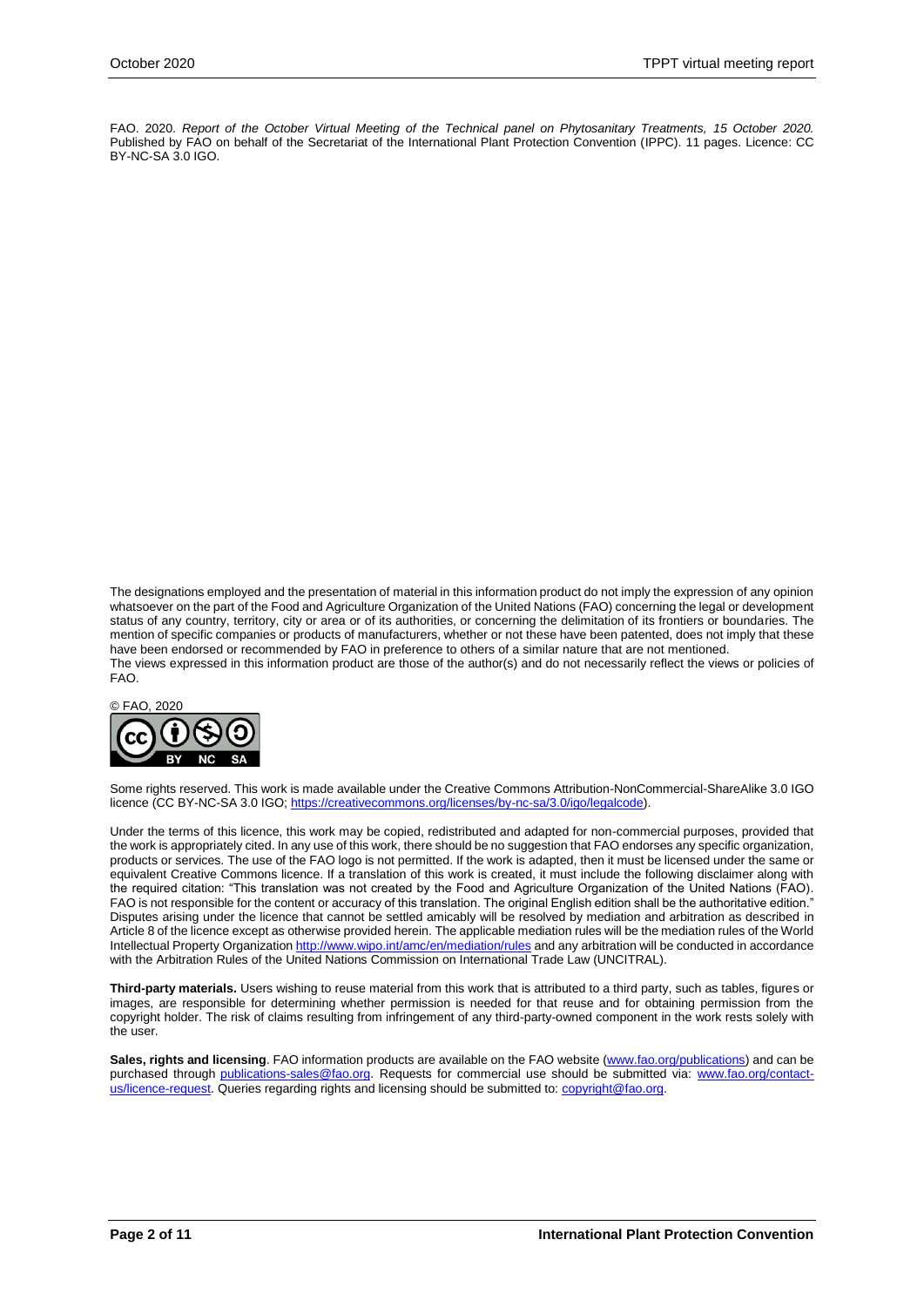FAO. 2020. *Report of the October Virtual Meeting of the Technical panel on Phytosanitary Treatments, 15 October 2020.*  Published by FAO on behalf of the Secretariat of the International Plant Protection Convention (IPPC). 11 pages. Licence: CC BY-NC-SA 3.0 IGO.

The designations employed and the presentation of material in this information product do not imply the expression of any opinion whatsoever on the part of the Food and Agriculture Organization of the United Nations (FAO) concerning the legal or development status of any country, territory, city or area or of its authorities, or concerning the delimitation of its frontiers or boundaries. The mention of specific companies or products of manufacturers, whether or not these have been patented, does not imply that these have been endorsed or recommended by FAO in preference to others of a similar nature that are not mentioned. The views expressed in this information product are those of the author(s) and do not necessarily reflect the views or policies of FAO.



Some rights reserved. This work is made available under the Creative Commons Attribution-NonCommercial-ShareAlike 3.0 IGO licence (CC BY-NC-SA 3.0 IGO[; https://creativecommons.org/licenses/by-nc-sa/3.0/igo/legalcode\)](https://creativecommons.org/licenses/by-nc-sa/3.0/igo/legalcode).

Under the terms of this licence, this work may be copied, redistributed and adapted for non-commercial purposes, provided that the work is appropriately cited. In any use of this work, there should be no suggestion that FAO endorses any specific organization, products or services. The use of the FAO logo is not permitted. If the work is adapted, then it must be licensed under the same or equivalent Creative Commons licence. If a translation of this work is created, it must include the following disclaimer along with the required citation: "This translation was not created by the Food and Agriculture Organization of the United Nations (FAO). FAO is not responsible for the content or accuracy of this translation. The original English edition shall be the authoritative edition." Disputes arising under the licence that cannot be settled amicably will be resolved by mediation and arbitration as described in Article 8 of the licence except as otherwise provided herein. The applicable mediation rules will be the mediation rules of the World Intellectual Property Organizatio[n http://www.wipo.int/amc/en/mediation/rules](http://www.wipo.int/amc/en/mediation/rules) and any arbitration will be conducted in accordance with the Arbitration Rules of the United Nations Commission on International Trade Law (UNCITRAL).

**Third-party materials.** Users wishing to reuse material from this work that is attributed to a third party, such as tables, figures or images, are responsible for determining whether permission is needed for that reuse and for obtaining permission from the copyright holder. The risk of claims resulting from infringement of any third-party-owned component in the work rests solely with the user.

Sales, rights and licensing. FAO information products are available on the FAO website [\(www.fao.org/publications\)](http://www.fao.org/publications) and can be purchased through [publications-sales@fao.org.](mailto:publications-sales@fao.org) Requests for commercial use should be submitted via: [www.fao.org/contact](http://www.fao.org/contact-us/licence-request)[us/licence-request.](http://www.fao.org/contact-us/licence-request) Queries regarding rights and licensing should be submitted to: [copyright@fao.org.](mailto:copyright@fao.org)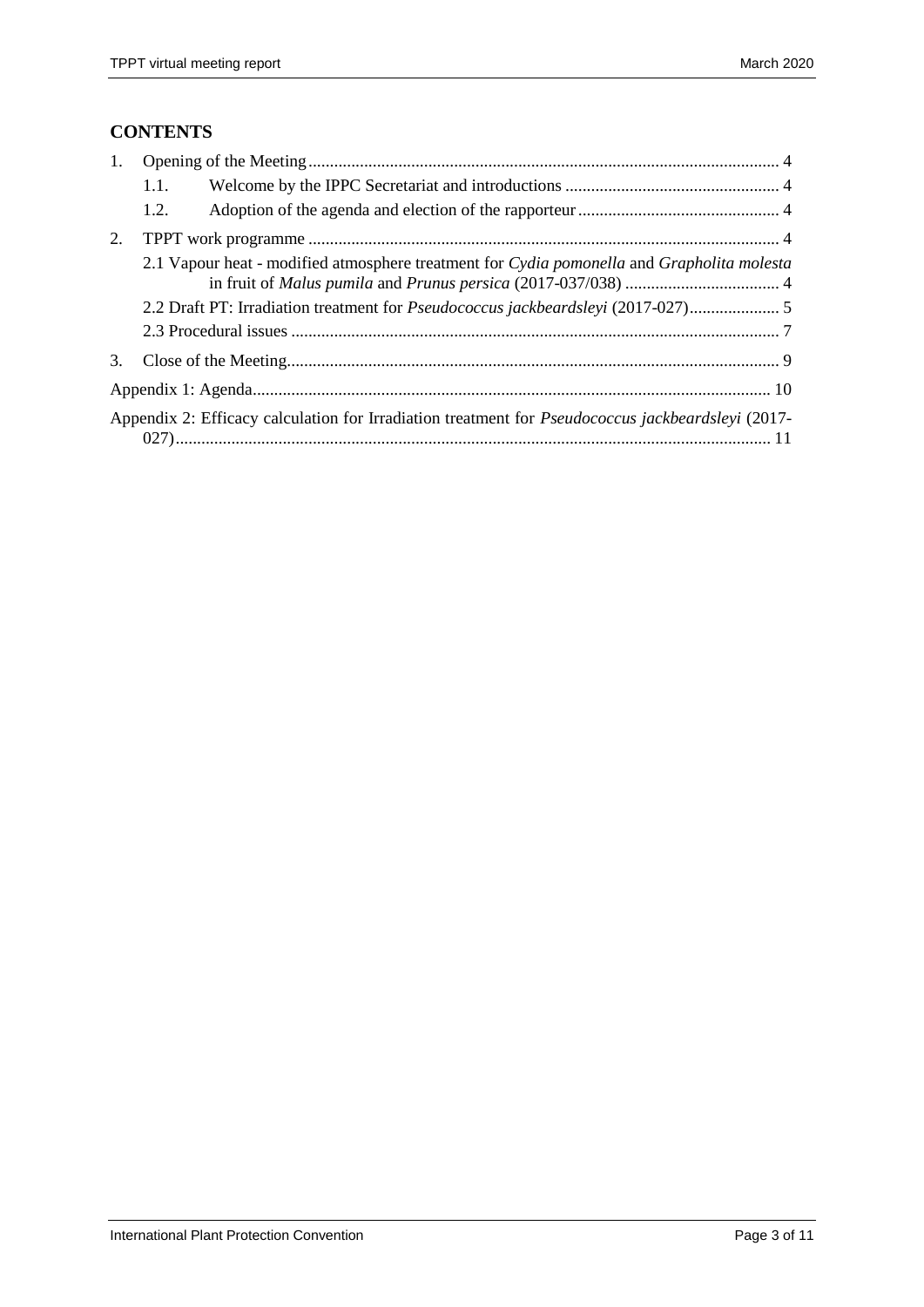# **CONTENTS**

| 1.                                                                                                       |      |                                                                                            |  |  |
|----------------------------------------------------------------------------------------------------------|------|--------------------------------------------------------------------------------------------|--|--|
|                                                                                                          | 1.1. |                                                                                            |  |  |
|                                                                                                          | 1.2. |                                                                                            |  |  |
| 2.                                                                                                       |      |                                                                                            |  |  |
|                                                                                                          |      | 2.1 Vapour heat - modified atmosphere treatment for Cydia pomonella and Grapholita molesta |  |  |
|                                                                                                          |      |                                                                                            |  |  |
|                                                                                                          |      |                                                                                            |  |  |
| 3.                                                                                                       |      |                                                                                            |  |  |
|                                                                                                          |      |                                                                                            |  |  |
| Appendix 2: Efficacy calculation for Irradiation treatment for <i>Pseudococcus jackbeardsleyi</i> (2017- |      |                                                                                            |  |  |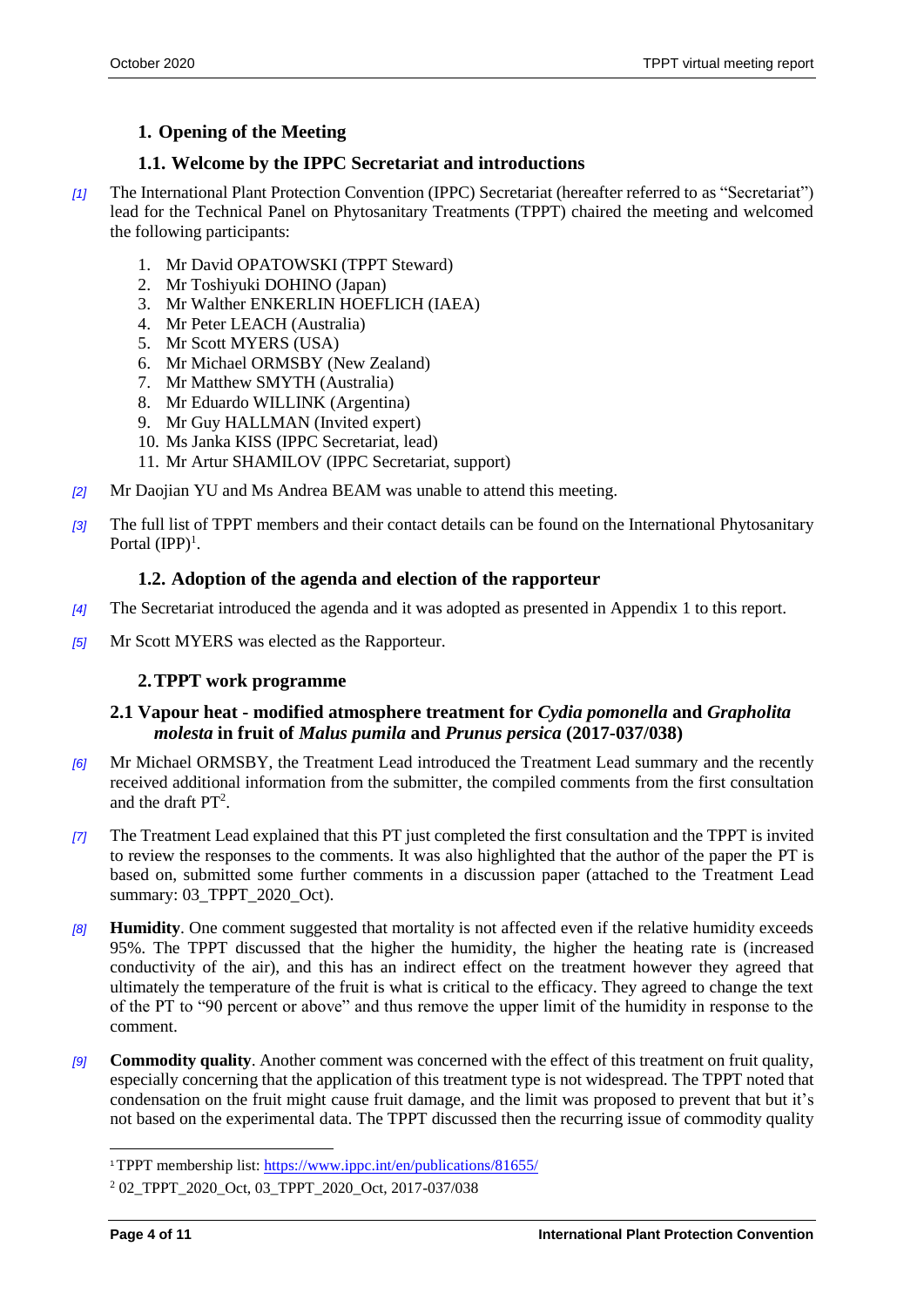#### <span id="page-3-0"></span>**1. Opening of the Meeting**

#### <span id="page-3-1"></span>**1.1. Welcome by the IPPC Secretariat and introductions**

- *[1]* The International Plant Protection Convention (IPPC) Secretariat (hereafter referred to as "Secretariat") lead for the Technical Panel on Phytosanitary Treatments (TPPT) chaired the meeting and welcomed the following participants:
	- 1. Mr David OPATOWSKI (TPPT Steward)
	- 2. Mr Toshiyuki DOHINO (Japan)
	- 3. Mr Walther ENKERLIN HOEFLICH (IAEA)
	- 4. Mr Peter LEACH (Australia)
	- 5. Mr Scott MYERS (USA)
	- 6. Mr Michael ORMSBY (New Zealand)
	- 7. Mr Matthew SMYTH (Australia)
	- 8. Mr Eduardo WILLINK (Argentina)
	- 9. Mr Guy HALLMAN (Invited expert)
	- 10. Ms Janka KISS (IPPC Secretariat, lead)
	- 11. Mr Artur SHAMILOV (IPPC Secretariat, support)
- *[2]* Mr Daojian YU and Ms Andrea BEAM was unable to attend this meeting.
- *[3]* The full list of TPPT members and their contact details can be found on the International Phytosanitary Portal  $(IPP)^1$ .

#### <span id="page-3-2"></span>**1.2. Adoption of the agenda and election of the rapporteur**

- *[4]* The Secretariat introduced the agenda and it was adopted as presented in Appendix 1 to this report.
- *[5]* Mr Scott MYERS was elected as the Rapporteur.

#### <span id="page-3-3"></span>**2.TPPT work programme**

#### <span id="page-3-4"></span>**2.1 Vapour heat - modified atmosphere treatment for** *Cydia pomonella* **and** *Grapholita molesta* **in fruit of** *Malus pumila* **and** *Prunus persica* **(2017-037/038)**

- *[6]* Mr Michael ORMSBY, the Treatment Lead introduced the Treatment Lead summary and the recently received additional information from the submitter, the compiled comments from the first consultation and the draft  $PT^2$ .
- *[7]* The Treatment Lead explained that this PT just completed the first consultation and the TPPT is invited to review the responses to the comments. It was also highlighted that the author of the paper the PT is based on, submitted some further comments in a discussion paper (attached to the Treatment Lead summary: 03\_TPPT\_2020\_Oct).
- *[8]* **Humidity**. One comment suggested that mortality is not affected even if the relative humidity exceeds 95%. The TPPT discussed that the higher the humidity, the higher the heating rate is (increased conductivity of the air), and this has an indirect effect on the treatment however they agreed that ultimately the temperature of the fruit is what is critical to the efficacy. They agreed to change the text of the PT to "90 percent or above" and thus remove the upper limit of the humidity in response to the comment.
- *[9]* **Commodity quality**. Another comment was concerned with the effect of this treatment on fruit quality, especially concerning that the application of this treatment type is not widespread. The TPPT noted that condensation on the fruit might cause fruit damage, and the limit was proposed to prevent that but it's not based on the experimental data. The TPPT discussed then the recurring issue of commodity quality

l

<sup>1</sup>TPPT membership list:<https://www.ippc.int/en/publications/81655/>

<sup>2</sup> 02\_TPPT\_2020\_Oct, 03\_TPPT\_2020\_Oct, 2017-037/038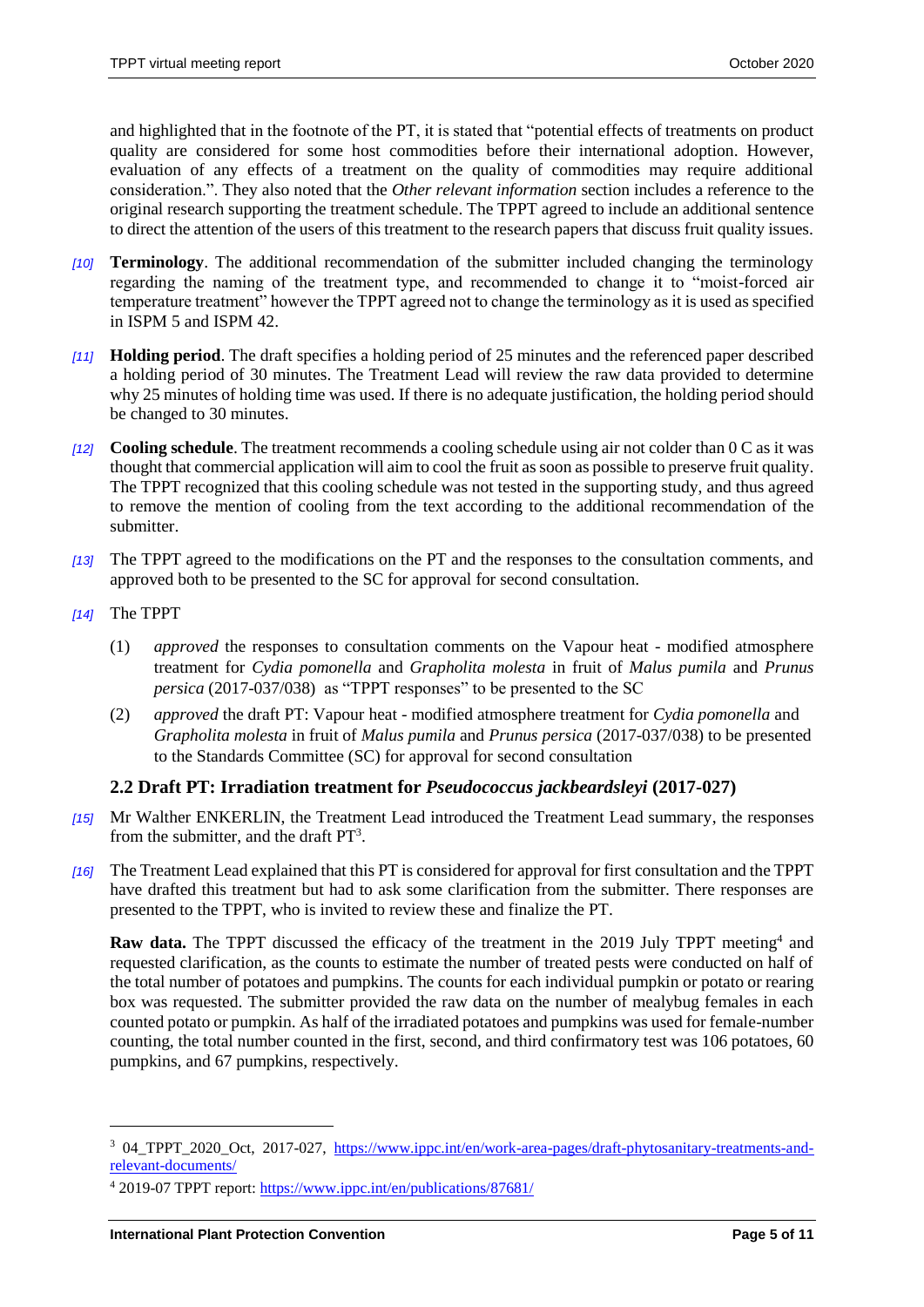and highlighted that in the footnote of the PT, it is stated that "potential effects of treatments on product quality are considered for some host commodities before their international adoption. However, evaluation of any effects of a treatment on the quality of commodities may require additional consideration.". They also noted that the *Other relevant information* section includes a reference to the original research supporting the treatment schedule. The TPPT agreed to include an additional sentence to direct the attention of the users of this treatment to the research papers that discuss fruit quality issues.

- *[10]* **Terminology**. The additional recommendation of the submitter included changing the terminology regarding the naming of the treatment type, and recommended to change it to "moist-forced air temperature treatment" however the TPPT agreed not to change the terminology as it is used as specified in ISPM 5 and ISPM 42.
- *[11]* **Holding period**. The draft specifies a holding period of 25 minutes and the referenced paper described a holding period of 30 minutes. The Treatment Lead will review the raw data provided to determine why 25 minutes of holding time was used. If there is no adequate justification, the holding period should be changed to 30 minutes.
- *[12]* **Cooling schedule**. The treatment recommends a cooling schedule using air not colder than 0 C as it was thought that commercial application will aim to cool the fruit as soon as possible to preserve fruit quality. The TPPT recognized that this cooling schedule was not tested in the supporting study, and thus agreed to remove the mention of cooling from the text according to the additional recommendation of the submitter.
- *[13]* The TPPT agreed to the modifications on the PT and the responses to the consultation comments, and approved both to be presented to the SC for approval for second consultation.
- *[14]* The TPPT

l

- (1) *approved* the responses to consultation comments on the Vapour heat modified atmosphere treatment for *Cydia pomonella* and *Grapholita molesta* in fruit of *Malus pumila* and *Prunus persica* (2017-037/038) as "TPPT responses" to be presented to the SC
- (2) *approved* the draft PT: Vapour heat modified atmosphere treatment for *Cydia pomonella* and *Grapholita molesta* in fruit of *Malus pumila* and *Prunus persica* (2017-037/038) to be presented to the Standards Committee (SC) for approval for second consultation

### <span id="page-4-0"></span>**2.2 Draft PT: Irradiation treatment for** *Pseudococcus jackbeardsleyi* **(2017-027)**

- *[15]* Mr Walther ENKERLIN, the Treatment Lead introduced the Treatment Lead summary, the responses from the submitter, and the draft  $PT<sup>3</sup>$ .
- *[16]* The Treatment Lead explained that this PT is considered for approval for first consultation and the TPPT have drafted this treatment but had to ask some clarification from the submitter. There responses are presented to the TPPT, who is invited to review these and finalize the PT.

Raw data. The TPPT discussed the efficacy of the treatment in the 2019 July TPPT meeting<sup>4</sup> and requested clarification, as the counts to estimate the number of treated pests were conducted on half of the total number of potatoes and pumpkins. The counts for each individual pumpkin or potato or rearing box was requested. The submitter provided the raw data on the number of mealybug females in each counted potato or pumpkin. As half of the irradiated potatoes and pumpkins was used for female-number counting, the total number counted in the first, second, and third confirmatory test was 106 potatoes, 60 pumpkins, and 67 pumpkins, respectively.

<sup>&</sup>lt;sup>3</sup> 04\_TPPT\_2020\_Oct, 2017-027, [https://www.ippc.int/en/work-area-pages/draft-phytosanitary-treatments-and](https://www.ippc.int/en/work-area-pages/draft-phytosanitary-treatments-and-relevant-documents/)[relevant-documents/](https://www.ippc.int/en/work-area-pages/draft-phytosanitary-treatments-and-relevant-documents/)

<sup>4</sup> 2019-07 TPPT report[: https://www.ippc.int/en/publications/87681/](https://www.ippc.int/en/publications/87681/)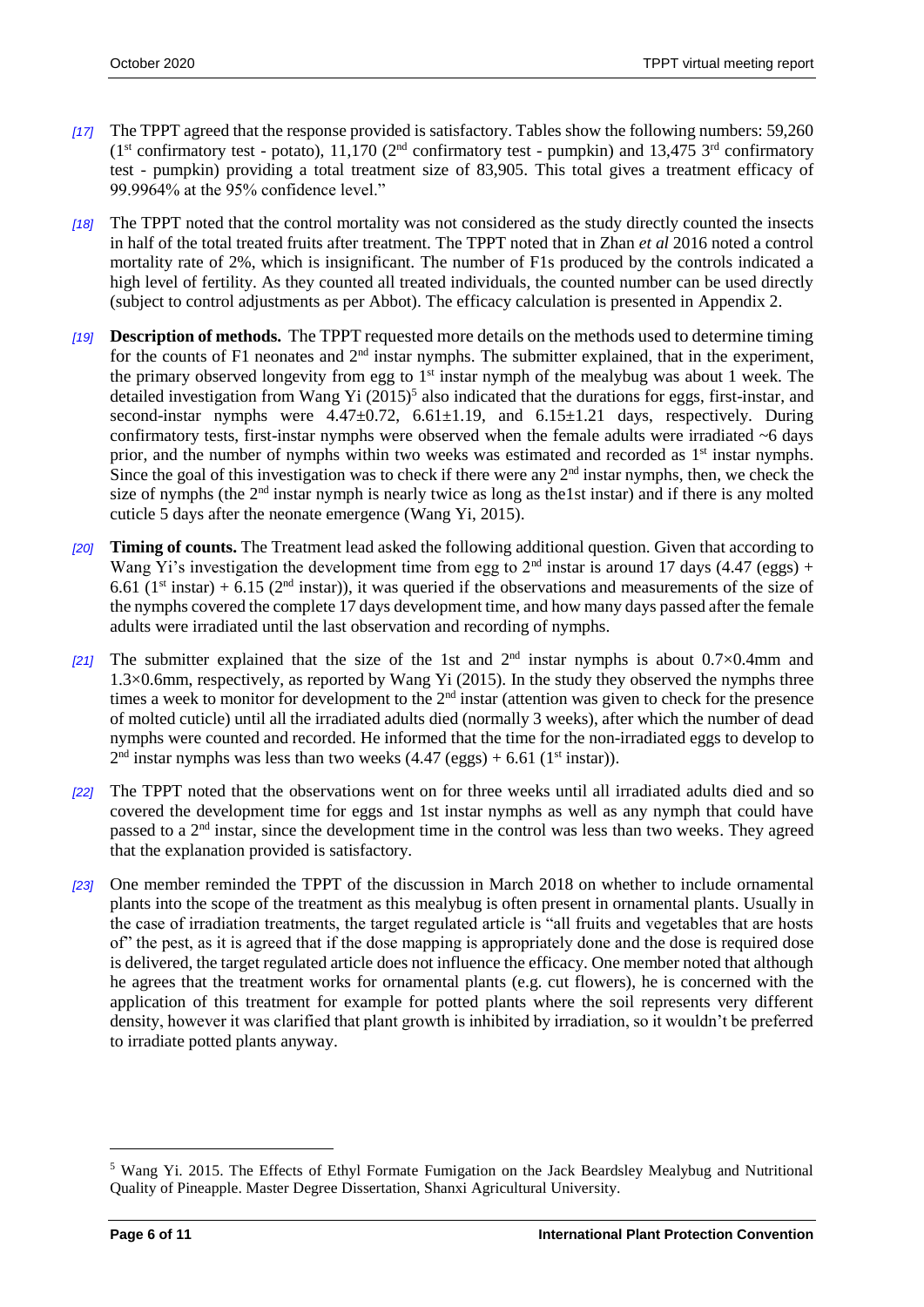- *[17]* The TPPT agreed that the response provided is satisfactory. Tables show the following numbers: 59,260  $(1<sup>st</sup>$  confirmatory test - potato),  $11,170$   $(2<sup>nd</sup>$  confirmatory test - pumpkin) and  $13,475$   $3<sup>rd</sup>$  confirmatory test - pumpkin) providing a total treatment size of 83,905. This total gives a treatment efficacy of 99.9964% at the 95% confidence level."
- *[18]* The TPPT noted that the control mortality was not considered as the study directly counted the insects in half of the total treated fruits after treatment. The TPPT noted that in Zhan *et al* 2016 noted a control mortality rate of 2%, which is insignificant. The number of F1s produced by the controls indicated a high level of fertility. As they counted all treated individuals, the counted number can be used directly (subject to control adjustments as per Abbot). The efficacy calculation is presented in Appendix 2.
- *[19]* **Description of methods.**The TPPT requested more details on the methods used to determine timing for the counts of F1 neonates and  $2<sup>nd</sup>$  instar nymphs. The submitter explained, that in the experiment, the primary observed longevity from egg to  $1<sup>st</sup>$  instar nymph of the mealybug was about 1 week. The detailed investigation from Wang Yi (2015)<sup>5</sup> also indicated that the durations for eggs, first-instar, and second-instar nymphs were  $4.47 \pm 0.72$ ,  $6.61 \pm 1.19$ , and  $6.15 \pm 1.21$  days, respectively. During confirmatory tests, first-instar nymphs were observed when the female adults were irradiated ~6 days prior, and the number of nymphs within two weeks was estimated and recorded as 1<sup>st</sup> instar nymphs. Since the goal of this investigation was to check if there were any  $2<sup>nd</sup>$  instar nymphs, then, we check the size of nymphs (the  $2<sup>nd</sup>$  instar nymph is nearly twice as long as the1st instar) and if there is any molted cuticle 5 days after the neonate emergence (Wang Yi, 2015).
- *[20]* **Timing of counts.** The Treatment lead asked the following additional question. Given that according to Wang Yi's investigation the development time from egg to  $2<sup>nd</sup>$  instar is around 17 days (4.47 (eggs) + 6.61 ( $1<sup>st</sup> instar$ ) + 6.15 ( $2<sup>nd</sup> instar$ )), it was queried if the observations and measurements of the size of the nymphs covered the complete 17 days development time, and how many days passed after the female adults were irradiated until the last observation and recording of nymphs.
- $[21]$  The submitter explained that the size of the 1st and 2<sup>nd</sup> instar nymphs is about 0.7×0.4mm and 1.3×0.6mm, respectively, as reported by Wang Yi (2015). In the study they observed the nymphs three times a week to monitor for development to the 2<sup>nd</sup> instar (attention was given to check for the presence of molted cuticle) until all the irradiated adults died (normally 3 weeks), after which the number of dead nymphs were counted and recorded. He informed that the time for the non-irradiated eggs to develop to  $2<sup>nd</sup>$  instar nymphs was less than two weeks  $(4.47 \text{ (eggs)} + 6.61 \text{ (1st instar)})$ .
- *[22]* The TPPT noted that the observations went on for three weeks until all irradiated adults died and so covered the development time for eggs and 1st instar nymphs as well as any nymph that could have passed to a 2<sup>nd</sup> instar, since the development time in the control was less than two weeks. They agreed that the explanation provided is satisfactory.
- *[23]* One member reminded the TPPT of the discussion in March 2018 on whether to include ornamental plants into the scope of the treatment as this mealybug is often present in ornamental plants. Usually in the case of irradiation treatments, the target regulated article is "all fruits and vegetables that are hosts of" the pest, as it is agreed that if the dose mapping is appropriately done and the dose is required dose is delivered, the target regulated article does not influence the efficacy. One member noted that although he agrees that the treatment works for ornamental plants (e.g. cut flowers), he is concerned with the application of this treatment for example for potted plants where the soil represents very different density, however it was clarified that plant growth is inhibited by irradiation, so it wouldn't be preferred to irradiate potted plants anyway.

l

<sup>5</sup> Wang Yi. 2015. The Effects of Ethyl Formate Fumigation on the Jack Beardsley Mealybug and Nutritional Quality of Pineapple. Master Degree Dissertation, Shanxi Agricultural University.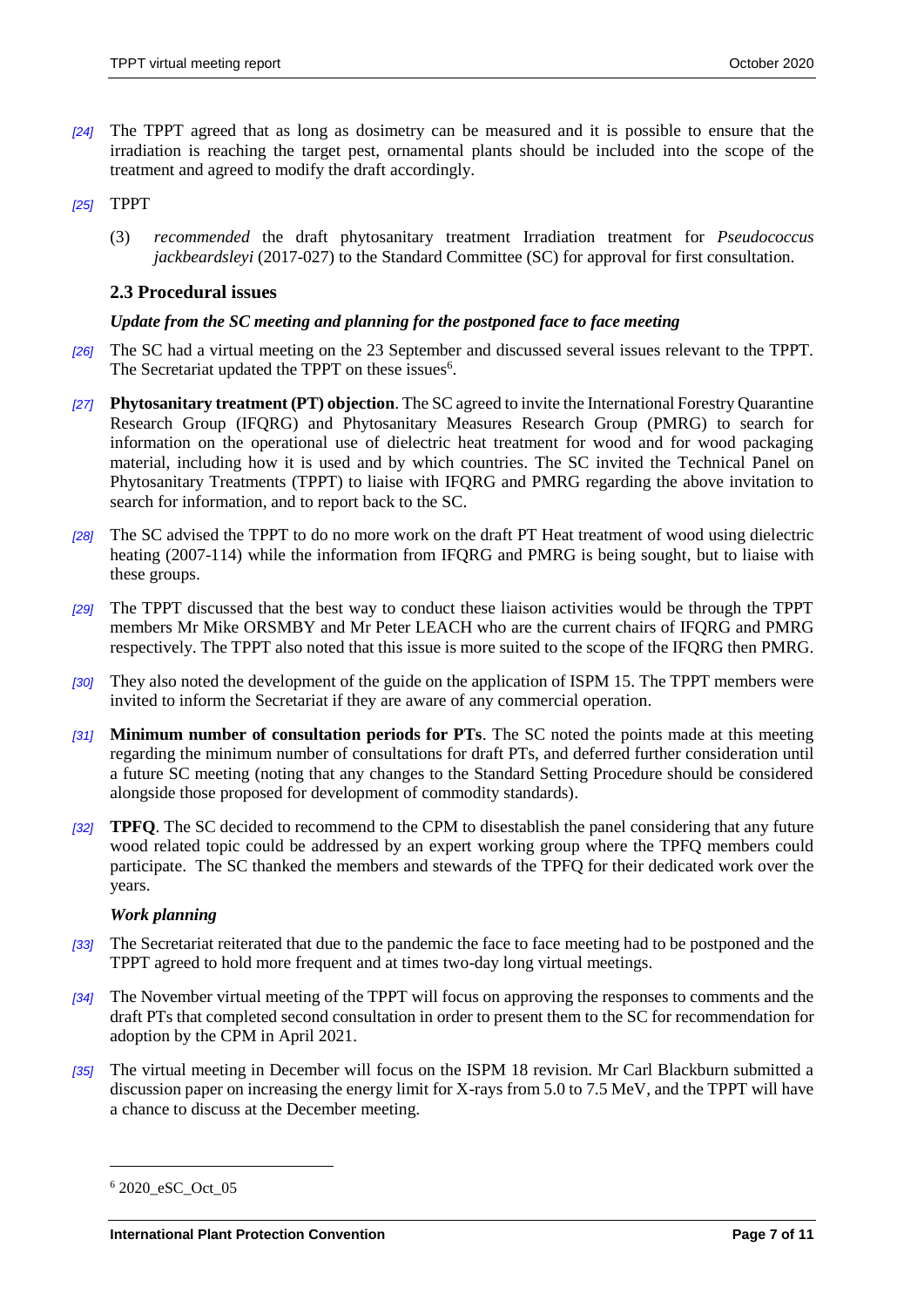- *[24]* The TPPT agreed that as long as dosimetry can be measured and it is possible to ensure that the irradiation is reaching the target pest, ornamental plants should be included into the scope of the treatment and agreed to modify the draft accordingly.
- *[25]* TPPT
	- (3) *recommended* the draft phytosanitary treatment Irradiation treatment for *Pseudococcus jackbeardsleyi* (2017-027) to the Standard Committee (SC) for approval for first consultation.

#### <span id="page-6-0"></span>**2.3 Procedural issues**

#### *Update from the SC meeting and planning for the postponed face to face meeting*

- *[26]* The SC had a virtual meeting on the 23 September and discussed several issues relevant to the TPPT. The Secretariat updated the TPPT on these issues $6$ .
- *[27]* **Phytosanitary treatment (PT) objection**. The SC agreed to invite the International Forestry Quarantine Research Group (IFQRG) and Phytosanitary Measures Research Group (PMRG) to search for information on the operational use of dielectric heat treatment for wood and for wood packaging material, including how it is used and by which countries. The SC invited the Technical Panel on Phytosanitary Treatments (TPPT) to liaise with IFQRG and PMRG regarding the above invitation to search for information, and to report back to the SC.
- *[28]* The SC advised the TPPT to do no more work on the draft PT Heat treatment of wood using dielectric heating (2007-114) while the information from IFQRG and PMRG is being sought, but to liaise with these groups.
- *[29]* The TPPT discussed that the best way to conduct these liaison activities would be through the TPPT members Mr Mike ORSMBY and Mr Peter LEACH who are the current chairs of IFQRG and PMRG respectively. The TPPT also noted that this issue is more suited to the scope of the IFQRG then PMRG.
- *[30]* They also noted the development of the guide on the application of ISPM 15. The TPPT members were invited to inform the Secretariat if they are aware of any commercial operation.
- *[31]* **Minimum number of consultation periods for PTs**. The SC noted the points made at this meeting regarding the minimum number of consultations for draft PTs, and deferred further consideration until a future SC meeting (noting that any changes to the Standard Setting Procedure should be considered alongside those proposed for development of commodity standards).
- *[32]* **TPFQ**. The SC decided to recommend to the CPM to disestablish the panel considering that any future wood related topic could be addressed by an expert working group where the TPFQ members could participate. The SC thanked the members and stewards of the TPFQ for their dedicated work over the years.

#### *Work planning*

- *[33]* The Secretariat reiterated that due to the pandemic the face to face meeting had to be postponed and the TPPT agreed to hold more frequent and at times two-day long virtual meetings.
- *[34]* The November virtual meeting of the TPPT will focus on approving the responses to comments and the draft PTs that completed second consultation in order to present them to the SC for recommendation for adoption by the CPM in April 2021.
- *[35]* The virtual meeting in December will focus on the ISPM 18 revision. Mr Carl Blackburn submitted a discussion paper on increasing the energy limit for X-rays from 5.0 to 7.5 MeV, and the TPPT will have a chance to discuss at the December meeting.

 $\overline{a}$ 

<sup>6</sup> 2020\_eSC\_Oct\_05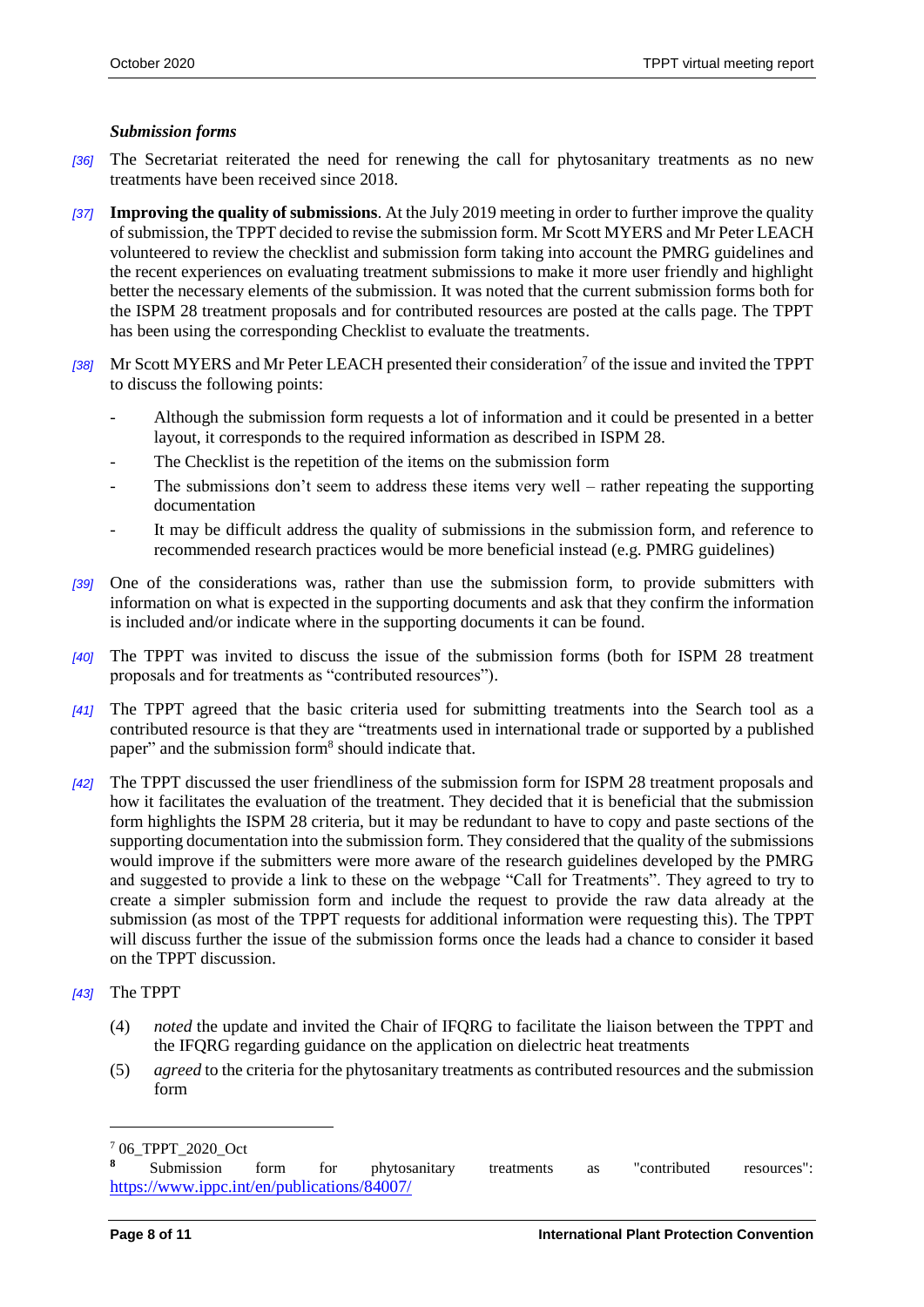#### *Submission forms*

- *[36]* The Secretariat reiterated the need for renewing the call for phytosanitary treatments as no new treatments have been received since 2018.
- *[37]* **Improving the quality of submissions**. At the July 2019 meeting in order to further improve the quality of submission, the TPPT decided to revise the submission form. Mr Scott MYERS and Mr Peter LEACH volunteered to review the checklist and submission form taking into account the PMRG guidelines and the recent experiences on evaluating treatment submissions to make it more user friendly and highlight better the necessary elements of the submission. It was noted that the current submission forms both for the ISPM 28 treatment proposals and for contributed resources are posted at the calls page. The TPPT has been using the corresponding Checklist to evaluate the treatments.
- *[38]* Mr Scott MYERS and Mr Peter LEACH presented their consideration<sup>7</sup> of the issue and invited the TPPT to discuss the following points:
	- Although the submission form requests a lot of information and it could be presented in a better layout, it corresponds to the required information as described in ISPM 28.
	- The Checklist is the repetition of the items on the submission form
	- The submissions don't seem to address these items very well rather repeating the supporting documentation
	- It may be difficult address the quality of submissions in the submission form, and reference to recommended research practices would be more beneficial instead (e.g. PMRG guidelines)
- *[39]* One of the considerations was, rather than use the submission form, to provide submitters with information on what is expected in the supporting documents and ask that they confirm the information is included and/or indicate where in the supporting documents it can be found.
- *[40]* The TPPT was invited to discuss the issue of the submission forms (both for ISPM 28 treatment proposals and for treatments as "contributed resources").
- *[41]* The TPPT agreed that the basic criteria used for submitting treatments into the Search tool as a contributed resource is that they are "treatments used in international trade or supported by a published paper" and the submission form<sup>8</sup> should indicate that.
- *[42]* The TPPT discussed the user friendliness of the submission form for ISPM 28 treatment proposals and how it facilitates the evaluation of the treatment. They decided that it is beneficial that the submission form highlights the ISPM 28 criteria, but it may be redundant to have to copy and paste sections of the supporting documentation into the submission form. They considered that the quality of the submissions would improve if the submitters were more aware of the research guidelines developed by the PMRG and suggested to provide a link to these on the webpage "Call for Treatments". They agreed to try to create a simpler submission form and include the request to provide the raw data already at the submission (as most of the TPPT requests for additional information were requesting this). The TPPT will discuss further the issue of the submission forms once the leads had a chance to consider it based on the TPPT discussion.
- *[43]* The TPPT

l

- (4) *noted* the update and invited the Chair of IFQRG to facilitate the liaison between the TPPT and the IFQRG regarding guidance on the application on dielectric heat treatments
- (5) *agreed* to the criteria for the phytosanitary treatments as contributed resources and the submission form

<sup>7</sup> 06\_TPPT\_2020\_Oct

**<sup>8</sup>** Submission form for phytosanitary treatments as "contributed resources": <https://www.ippc.int/en/publications/84007/>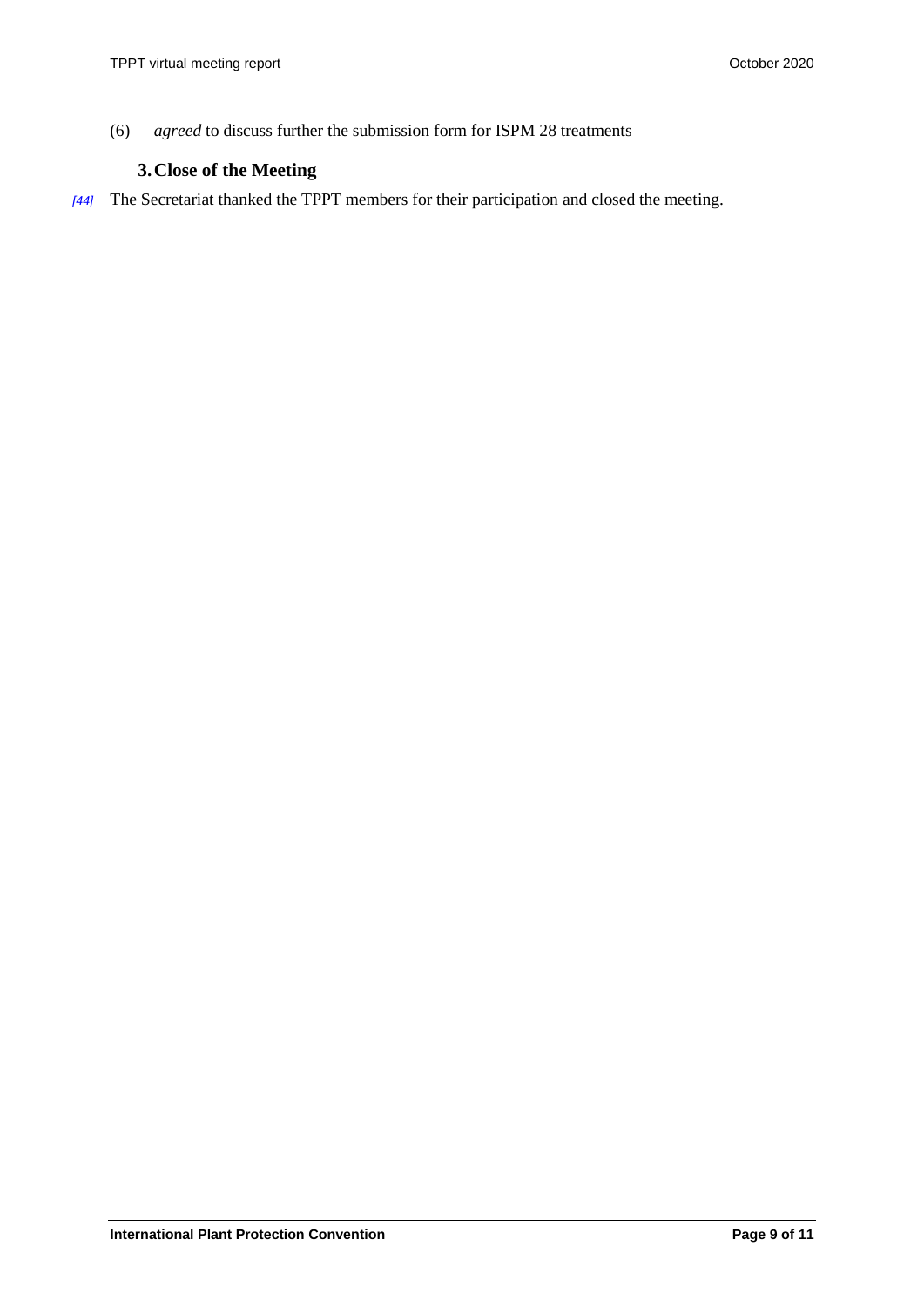<span id="page-8-0"></span>(6) *agreed* to discuss further the submission form for ISPM 28 treatments

#### **3.Close of the Meeting**

*[44]* The Secretariat thanked the TPPT members for their participation and closed the meeting.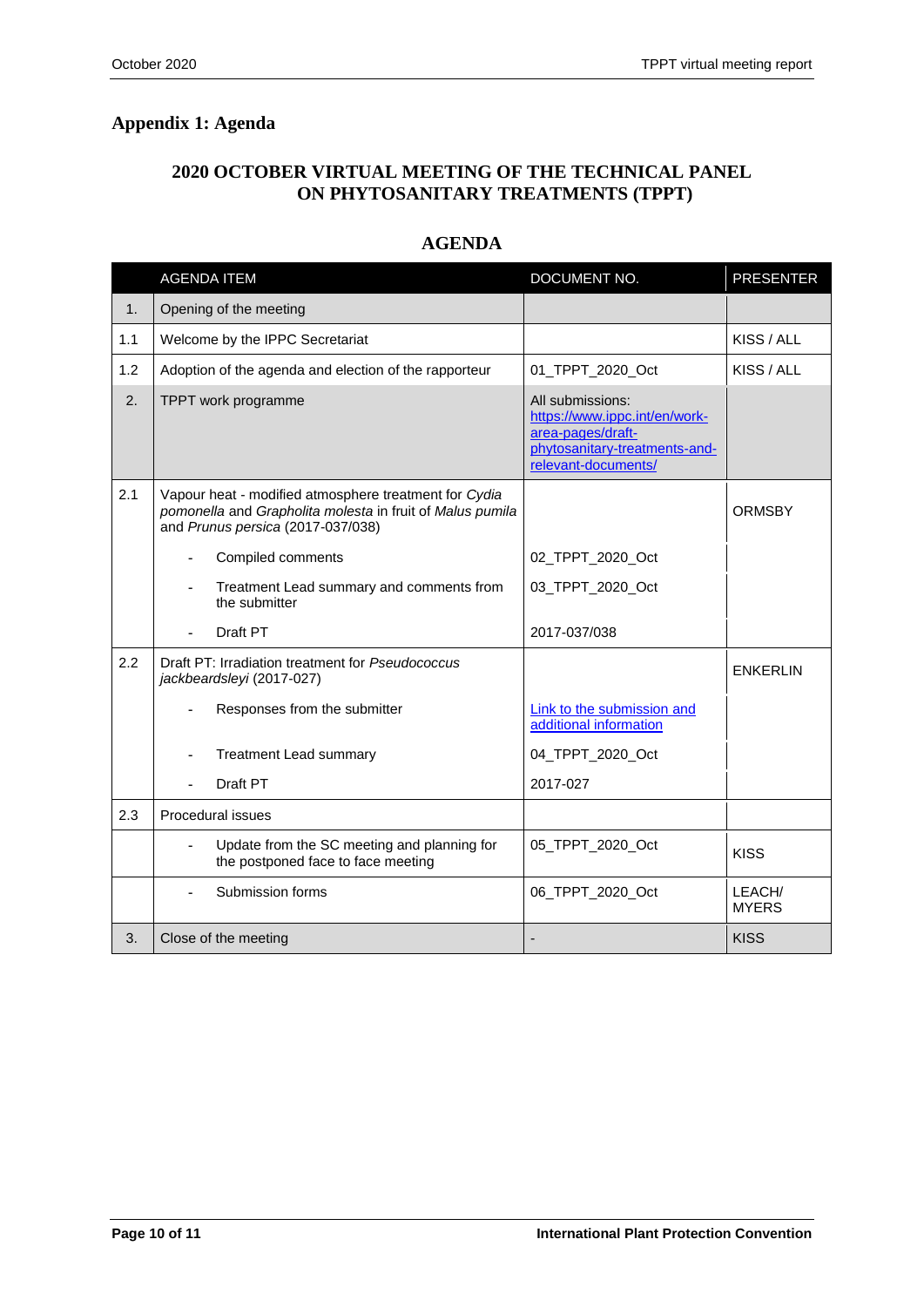# <span id="page-9-0"></span>**Appendix 1: Agenda**

## **2020 OCTOBER VIRTUAL MEETING OF THE TECHNICAL PANEL ON PHYTOSANITARY TREATMENTS (TPPT)**

# **AGENDA**

|     | <b>AGENDA ITEM</b>                                                                                                                                      | DOCUMENT NO.                                                                                                                   | <b>PRESENTER</b>       |
|-----|---------------------------------------------------------------------------------------------------------------------------------------------------------|--------------------------------------------------------------------------------------------------------------------------------|------------------------|
| 1.  | Opening of the meeting                                                                                                                                  |                                                                                                                                |                        |
| 1.1 | Welcome by the IPPC Secretariat                                                                                                                         |                                                                                                                                | KISS / ALL             |
| 1.2 | Adoption of the agenda and election of the rapporteur                                                                                                   | 01_TPPT_2020_Oct                                                                                                               | KISS / ALL             |
| 2.  | TPPT work programme                                                                                                                                     | All submissions:<br>https://www.ippc.int/en/work-<br>area-pages/draft-<br>phytosanitary-treatments-and-<br>relevant-documents/ |                        |
| 2.1 | Vapour heat - modified atmosphere treatment for Cydia<br>pomonella and Grapholita molesta in fruit of Malus pumila<br>and Prunus persica (2017-037/038) |                                                                                                                                | <b>ORMSBY</b>          |
|     | Compiled comments                                                                                                                                       | 02_TPPT_2020_Oct                                                                                                               |                        |
|     | Treatment Lead summary and comments from<br>the submitter                                                                                               | 03_TPPT_2020_Oct                                                                                                               |                        |
|     | Draft PT                                                                                                                                                | 2017-037/038                                                                                                                   |                        |
| 2.2 | Draft PT: Irradiation treatment for Pseudococcus<br>jackbeardsleyi (2017-027)                                                                           |                                                                                                                                | <b>ENKERLIN</b>        |
|     | Responses from the submitter<br>٠                                                                                                                       | Link to the submission and<br>additional information                                                                           |                        |
|     | Treatment Lead summary                                                                                                                                  | 04_TPPT_2020_Oct                                                                                                               |                        |
|     | Draft PT                                                                                                                                                | 2017-027                                                                                                                       |                        |
| 2.3 | Procedural issues                                                                                                                                       |                                                                                                                                |                        |
|     | Update from the SC meeting and planning for<br>the postponed face to face meeting                                                                       | 05_TPPT_2020_Oct                                                                                                               | <b>KISS</b>            |
|     | Submission forms                                                                                                                                        | 06_TPPT_2020_Oct                                                                                                               | LEACH/<br><b>MYERS</b> |
| 3.  | Close of the meeting                                                                                                                                    |                                                                                                                                | <b>KISS</b>            |